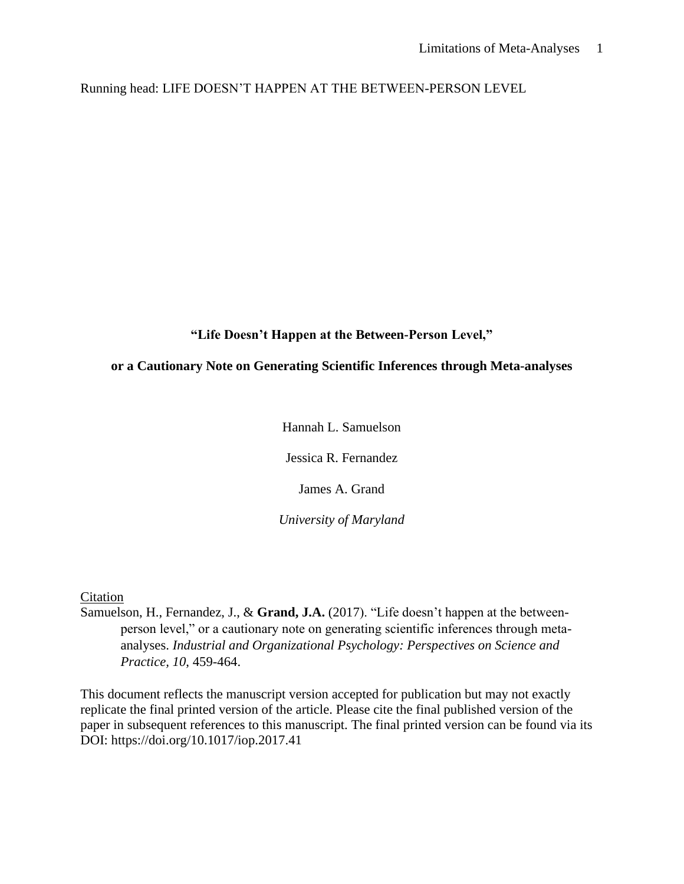Running head: LIFE DOESN'T HAPPEN AT THE BETWEEN-PERSON LEVEL

**"Life Doesn't Happen at the Between-Person Level,"**

# **or a Cautionary Note on Generating Scientific Inferences through Meta-analyses**

Hannah L. Samuelson

Jessica R. Fernandez

James A. Grand

*University of Maryland*

Citation

Samuelson, H., Fernandez, J., & **Grand, J.A.** (2017). "Life doesn't happen at the betweenperson level," or a cautionary note on generating scientific inferences through metaanalyses. *Industrial and Organizational Psychology: Perspectives on Science and Practice, 10*, 459-464.

This document reflects the manuscript version accepted for publication but may not exactly replicate the final printed version of the article. Please cite the final published version of the paper in subsequent references to this manuscript. The final printed version can be found via its DOI: https://doi.org/10.1017/iop.2017.41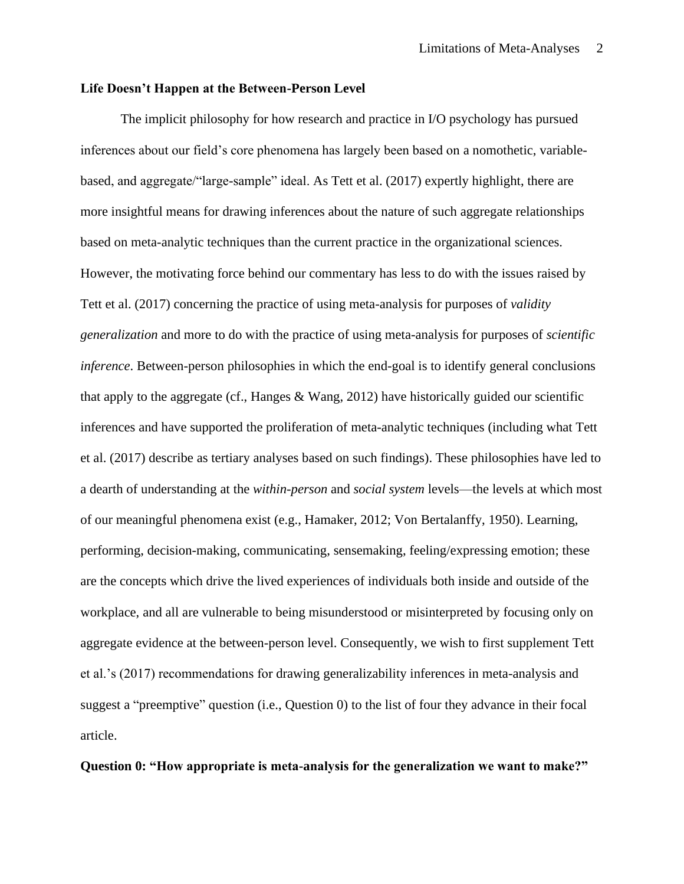## **Life Doesn't Happen at the Between-Person Level**

The implicit philosophy for how research and practice in I/O psychology has pursued inferences about our field's core phenomena has largely been based on a nomothetic, variablebased, and aggregate/"large-sample" ideal. As Tett et al. (2017) expertly highlight, there are more insightful means for drawing inferences about the nature of such aggregate relationships based on meta-analytic techniques than the current practice in the organizational sciences. However, the motivating force behind our commentary has less to do with the issues raised by Tett et al. (2017) concerning the practice of using meta-analysis for purposes of *validity generalization* and more to do with the practice of using meta-analysis for purposes of *scientific inference*. Between-person philosophies in which the end-goal is to identify general conclusions that apply to the aggregate (cf., Hanges  $\&$  Wang, 2012) have historically guided our scientific inferences and have supported the proliferation of meta-analytic techniques (including what Tett et al. (2017) describe as tertiary analyses based on such findings). These philosophies have led to a dearth of understanding at the *within-person* and *social system* levels—the levels at which most of our meaningful phenomena exist (e.g., Hamaker, 2012; Von Bertalanffy, 1950). Learning, performing, decision-making, communicating, sensemaking, feeling/expressing emotion; these are the concepts which drive the lived experiences of individuals both inside and outside of the workplace, and all are vulnerable to being misunderstood or misinterpreted by focusing only on aggregate evidence at the between-person level. Consequently, we wish to first supplement Tett et al.'s (2017) recommendations for drawing generalizability inferences in meta-analysis and suggest a "preemptive" question (i.e., Question 0) to the list of four they advance in their focal article.

**Question 0: "How appropriate is meta-analysis for the generalization we want to make?"**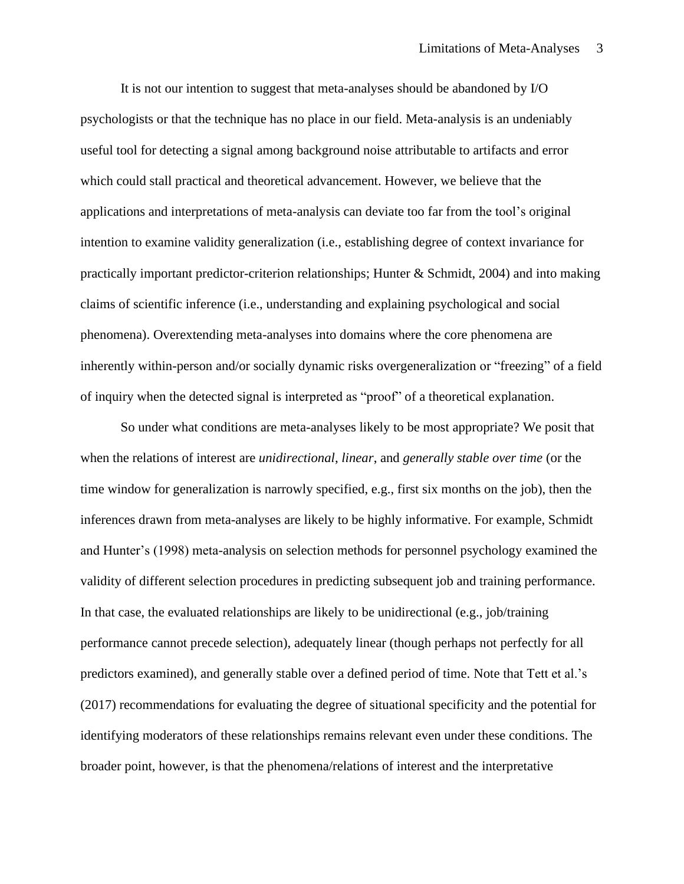It is not our intention to suggest that meta-analyses should be abandoned by I/O psychologists or that the technique has no place in our field. Meta-analysis is an undeniably useful tool for detecting a signal among background noise attributable to artifacts and error which could stall practical and theoretical advancement. However, we believe that the applications and interpretations of meta-analysis can deviate too far from the tool's original intention to examine validity generalization (i.e., establishing degree of context invariance for practically important predictor-criterion relationships; Hunter & Schmidt, 2004) and into making claims of scientific inference (i.e., understanding and explaining psychological and social phenomena). Overextending meta-analyses into domains where the core phenomena are inherently within-person and/or socially dynamic risks overgeneralization or "freezing" of a field of inquiry when the detected signal is interpreted as "proof" of a theoretical explanation.

So under what conditions are meta-analyses likely to be most appropriate? We posit that when the relations of interest are *unidirectional*, *linear*, and *generally stable over time* (or the time window for generalization is narrowly specified, e.g., first six months on the job), then the inferences drawn from meta-analyses are likely to be highly informative. For example, Schmidt and Hunter's (1998) meta-analysis on selection methods for personnel psychology examined the validity of different selection procedures in predicting subsequent job and training performance. In that case, the evaluated relationships are likely to be unidirectional (e.g., job/training performance cannot precede selection), adequately linear (though perhaps not perfectly for all predictors examined), and generally stable over a defined period of time. Note that Tett et al.'s (2017) recommendations for evaluating the degree of situational specificity and the potential for identifying moderators of these relationships remains relevant even under these conditions. The broader point, however, is that the phenomena/relations of interest and the interpretative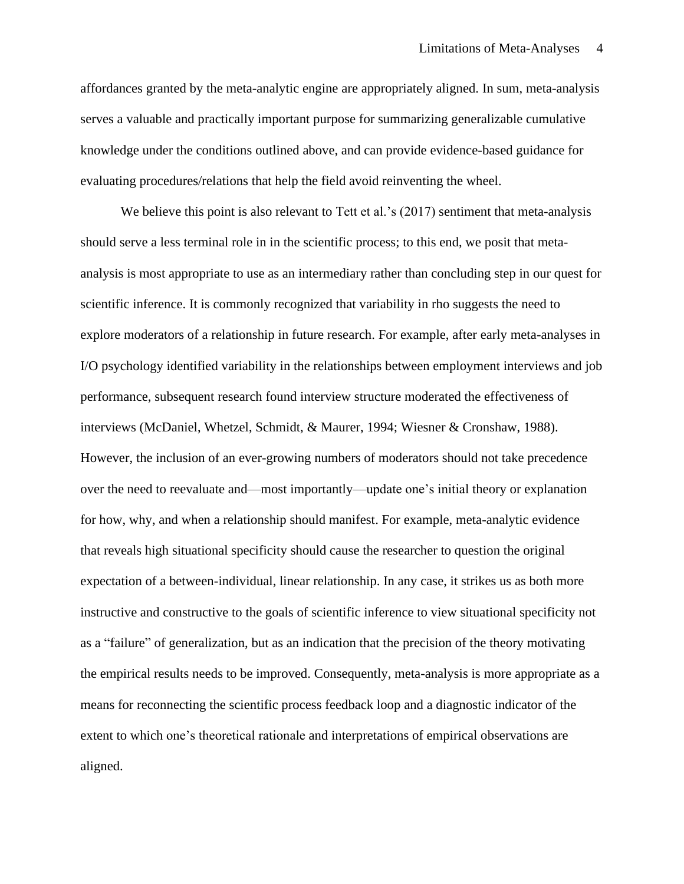affordances granted by the meta-analytic engine are appropriately aligned. In sum, meta-analysis serves a valuable and practically important purpose for summarizing generalizable cumulative knowledge under the conditions outlined above, and can provide evidence-based guidance for evaluating procedures/relations that help the field avoid reinventing the wheel.

We believe this point is also relevant to Tett et al.'s (2017) sentiment that meta-analysis should serve a less terminal role in in the scientific process; to this end, we posit that metaanalysis is most appropriate to use as an intermediary rather than concluding step in our quest for scientific inference. It is commonly recognized that variability in rho suggests the need to explore moderators of a relationship in future research. For example, after early meta-analyses in I/O psychology identified variability in the relationships between employment interviews and job performance, subsequent research found interview structure moderated the effectiveness of interviews (McDaniel, Whetzel, Schmidt, & Maurer, 1994; Wiesner & Cronshaw, 1988). However, the inclusion of an ever-growing numbers of moderators should not take precedence over the need to reevaluate and—most importantly—update one's initial theory or explanation for how, why, and when a relationship should manifest. For example, meta-analytic evidence that reveals high situational specificity should cause the researcher to question the original expectation of a between-individual, linear relationship. In any case, it strikes us as both more instructive and constructive to the goals of scientific inference to view situational specificity not as a "failure" of generalization, but as an indication that the precision of the theory motivating the empirical results needs to be improved. Consequently, meta-analysis is more appropriate as a means for reconnecting the scientific process feedback loop and a diagnostic indicator of the extent to which one's theoretical rationale and interpretations of empirical observations are aligned.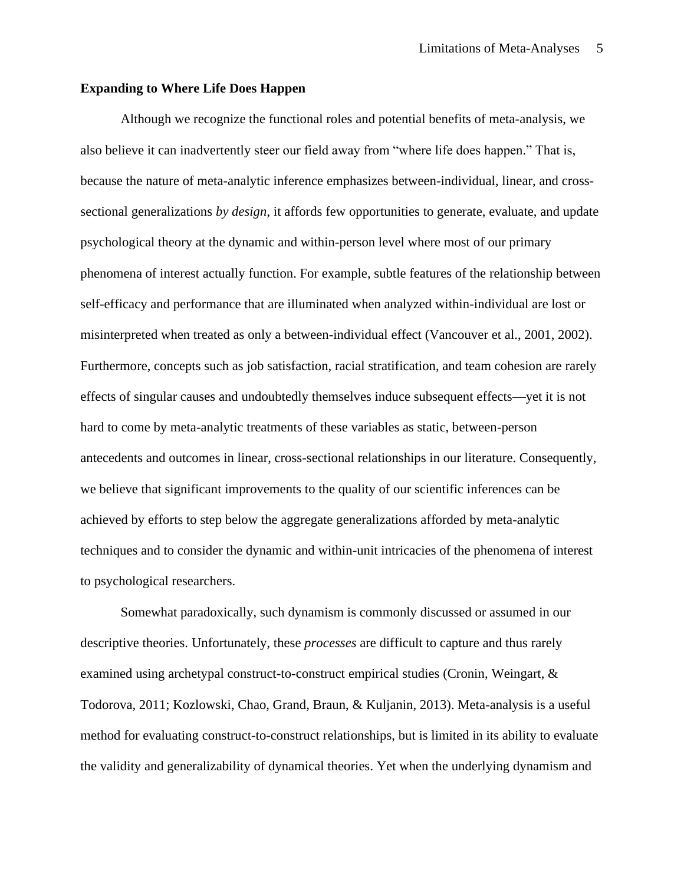## **Expanding to Where Life Does Happen**

Although we recognize the functional roles and potential benefits of meta-analysis, we also believe it can inadvertently steer our field away from "where life does happen." That is, because the nature of meta-analytic inference emphasizes between-individual, linear, and crosssectional generalizations *by design*, it affords few opportunities to generate, evaluate, and update psychological theory at the dynamic and within-person level where most of our primary phenomena of interest actually function. For example, subtle features of the relationship between self-efficacy and performance that are illuminated when analyzed within-individual are lost or misinterpreted when treated as only a between-individual effect (Vancouver et al., 2001, 2002). Furthermore, concepts such as job satisfaction, racial stratification, and team cohesion are rarely effects of singular causes and undoubtedly themselves induce subsequent effects—yet it is not hard to come by meta-analytic treatments of these variables as static, between-person antecedents and outcomes in linear, cross-sectional relationships in our literature. Consequently, we believe that significant improvements to the quality of our scientific inferences can be achieved by efforts to step below the aggregate generalizations afforded by meta-analytic techniques and to consider the dynamic and within-unit intricacies of the phenomena of interest to psychological researchers.

Somewhat paradoxically, such dynamism is commonly discussed or assumed in our descriptive theories. Unfortunately, these *processes* are difficult to capture and thus rarely examined using archetypal construct-to-construct empirical studies (Cronin, Weingart, & Todorova, 2011; Kozlowski, Chao, Grand, Braun, & Kuljanin, 2013). Meta-analysis is a useful method for evaluating construct-to-construct relationships, but is limited in its ability to evaluate the validity and generalizability of dynamical theories. Yet when the underlying dynamism and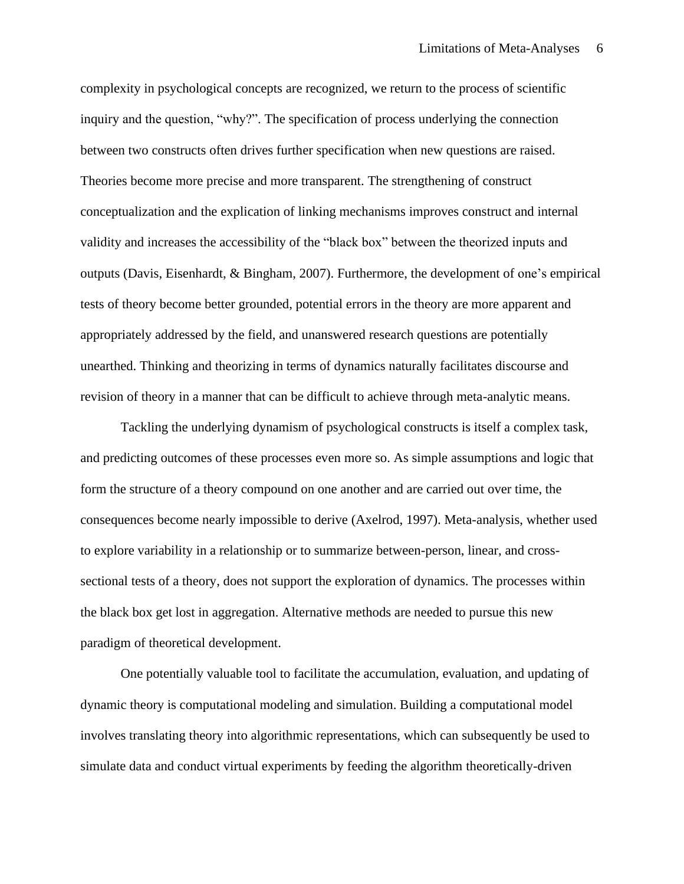complexity in psychological concepts are recognized, we return to the process of scientific inquiry and the question, "why?". The specification of process underlying the connection between two constructs often drives further specification when new questions are raised. Theories become more precise and more transparent. The strengthening of construct conceptualization and the explication of linking mechanisms improves construct and internal validity and increases the accessibility of the "black box" between the theorized inputs and outputs (Davis, Eisenhardt, & Bingham, 2007). Furthermore, the development of one's empirical tests of theory become better grounded, potential errors in the theory are more apparent and appropriately addressed by the field, and unanswered research questions are potentially unearthed. Thinking and theorizing in terms of dynamics naturally facilitates discourse and revision of theory in a manner that can be difficult to achieve through meta-analytic means.

Tackling the underlying dynamism of psychological constructs is itself a complex task, and predicting outcomes of these processes even more so. As simple assumptions and logic that form the structure of a theory compound on one another and are carried out over time, the consequences become nearly impossible to derive (Axelrod, 1997). Meta-analysis, whether used to explore variability in a relationship or to summarize between-person, linear, and crosssectional tests of a theory, does not support the exploration of dynamics. The processes within the black box get lost in aggregation. Alternative methods are needed to pursue this new paradigm of theoretical development.

One potentially valuable tool to facilitate the accumulation, evaluation, and updating of dynamic theory is computational modeling and simulation. Building a computational model involves translating theory into algorithmic representations, which can subsequently be used to simulate data and conduct virtual experiments by feeding the algorithm theoretically-driven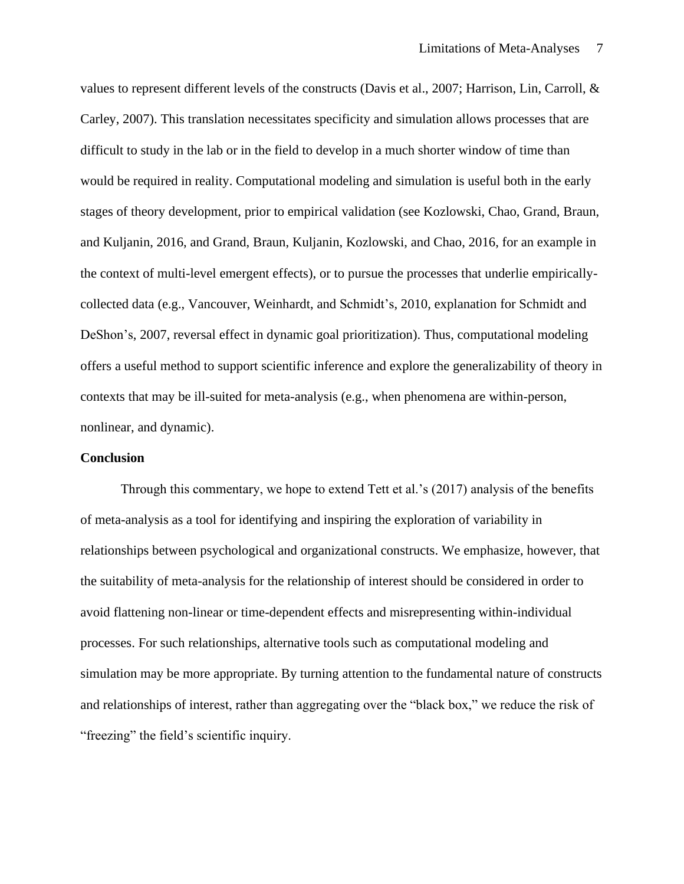values to represent different levels of the constructs (Davis et al., 2007; Harrison, Lin, Carroll, & Carley, 2007). This translation necessitates specificity and simulation allows processes that are difficult to study in the lab or in the field to develop in a much shorter window of time than would be required in reality. Computational modeling and simulation is useful both in the early stages of theory development, prior to empirical validation (see Kozlowski, Chao, Grand, Braun, and Kuljanin, 2016, and Grand, Braun, Kuljanin, Kozlowski, and Chao, 2016, for an example in the context of multi-level emergent effects), or to pursue the processes that underlie empiricallycollected data (e.g., Vancouver, Weinhardt, and Schmidt's, 2010, explanation for Schmidt and DeShon's, 2007, reversal effect in dynamic goal prioritization). Thus, computational modeling offers a useful method to support scientific inference and explore the generalizability of theory in contexts that may be ill-suited for meta-analysis (e.g., when phenomena are within-person, nonlinear, and dynamic).

#### **Conclusion**

Through this commentary, we hope to extend Tett et al.'s (2017) analysis of the benefits of meta-analysis as a tool for identifying and inspiring the exploration of variability in relationships between psychological and organizational constructs. We emphasize, however, that the suitability of meta-analysis for the relationship of interest should be considered in order to avoid flattening non-linear or time-dependent effects and misrepresenting within-individual processes. For such relationships, alternative tools such as computational modeling and simulation may be more appropriate. By turning attention to the fundamental nature of constructs and relationships of interest, rather than aggregating over the "black box," we reduce the risk of "freezing" the field's scientific inquiry.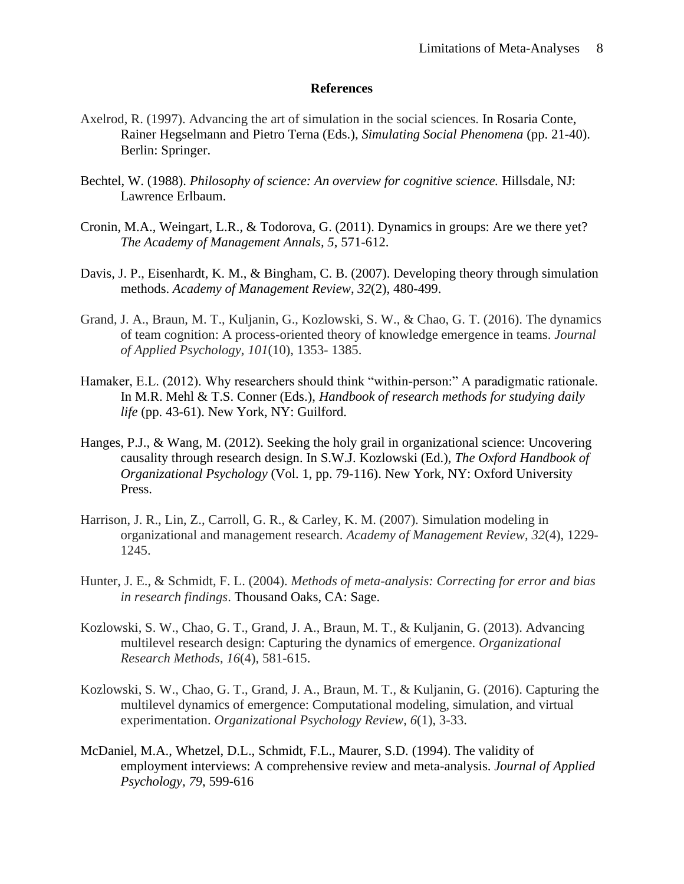## **References**

- Axelrod, R. (1997). Advancing the art of simulation in the social sciences. In Rosaria Conte, Rainer Hegselmann and Pietro Terna (Eds.), *Simulating Social Phenomena* (pp. 21-40). Berlin: Springer.
- Bechtel, W. (1988). *Philosophy of science: An overview for cognitive science.* Hillsdale, NJ: Lawrence Erlbaum.
- Cronin, M.A., Weingart, L.R., & Todorova, G. (2011). Dynamics in groups: Are we there yet? *The Academy of Management Annals, 5*, 571-612.
- Davis, J. P., Eisenhardt, K. M., & Bingham, C. B. (2007). Developing theory through simulation methods. *Academy of Management Review*, *32*(2), 480-499.
- Grand, J. A., Braun, M. T., Kuljanin, G., Kozlowski, S. W., & Chao, G. T. (2016). The dynamics of team cognition: A process-oriented theory of knowledge emergence in teams. *Journal of Applied Psychology*, *101*(10), 1353- 1385.
- Hamaker, E.L. (2012). Why researchers should think "within-person:" A paradigmatic rationale. In M.R. Mehl & T.S. Conner (Eds.), *Handbook of research methods for studying daily life* (pp. 43-61). New York, NY: Guilford.
- Hanges, P.J., & Wang, M. (2012). Seeking the holy grail in organizational science: Uncovering causality through research design. In S.W.J. Kozlowski (Ed.), *The Oxford Handbook of Organizational Psychology* (Vol. 1, pp. 79-116). New York, NY: Oxford University Press.
- Harrison, J. R., Lin, Z., Carroll, G. R., & Carley, K. M. (2007). Simulation modeling in organizational and management research. *Academy of Management Review*, *32*(4), 1229- 1245.
- Hunter, J. E., & Schmidt, F. L. (2004). *Methods of meta-analysis: Correcting for error and bias in research findings*. Thousand Oaks, CA: Sage.
- Kozlowski, S. W., Chao, G. T., Grand, J. A., Braun, M. T., & Kuljanin, G. (2013). Advancing multilevel research design: Capturing the dynamics of emergence. *Organizational Research Methods*, *16*(4), 581-615.
- Kozlowski, S. W., Chao, G. T., Grand, J. A., Braun, M. T., & Kuljanin, G. (2016). Capturing the multilevel dynamics of emergence: Computational modeling, simulation, and virtual experimentation. *Organizational Psychology Review*, *6*(1), 3-33.
- McDaniel, M.A., Whetzel, D.L., Schmidt, F.L., Maurer, S.D. (1994). The validity of employment interviews: A comprehensive review and meta-analysis. *Journal of Applied Psychology, 79*, 599-616